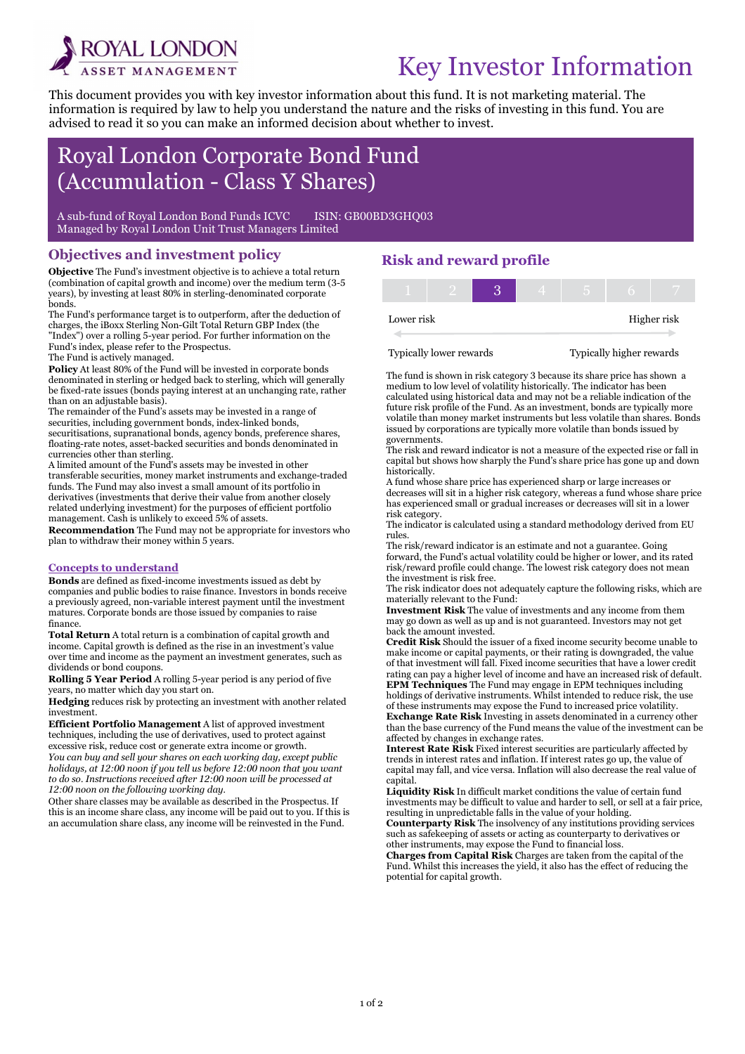

# Key Investor Information

This document provides you with key investor information about this fund. It is not marketing material. The information is required by law to help you understand the nature and the risks of investing in this fund. You are advised to read it so you can make an informed decision about whether to invest.

## Royal London Corporate Bond Fund (Accumulation - Class Y Shares)

A sub-fund of Royal London Bond Funds ICVC ISIN: GB00BD3GHO03 Managed by Royal London Unit Trust Managers Limited

#### Objectives and investment policy

Objective The Fund's investment objective is to achieve a total return (combination of capital growth and income) over the medium term (3-5 years), by investing at least 80% in sterling-denominated corporate bonds.

The Fund's performance target is to outperform, after the deduction of charges, the iBoxx Sterling Non-Gilt Total Return GBP Index (the "Index") over a rolling 5-year period. For further information on the Fund's index, please refer to the Prospectus.

The Fund is actively managed.

i

Policy At least 80% of the Fund will be invested in corporate bonds denominated in sterling or hedged back to sterling, which will generally be fixed-rate issues (bonds paying interest at an unchanging rate, rather than on an adjustable basis).

The remainder of the Fund's assets may be invested in a range of securities, including government bonds, index-linked bonds, securitisations, supranational bonds, agency bonds, preference shares, floating-rate notes, asset-backed securities and bonds denominated in currencies other than sterling.

A limited amount of the Fund's assets may be invested in other transferable securities, money market instruments and exchange-traded funds. The Fund may also invest a small amount of its portfolio in derivatives (investments that derive their value from another closely related underlying investment) for the purposes of efficient portfolio management. Cash is unlikely to exceed 5% of assets.

Recommendation The Fund may not be appropriate for investors who plan to withdraw their money within 5 years.

#### Concepts to understand

Bonds are defined as fixed-income investments issued as debt by companies and public bodies to raise finance. Investors in bonds receive a previously agreed, non-variable interest payment until the investment matures. Corporate bonds are those issued by companies to raise finance.

Total Return A total return is a combination of capital growth and income. Capital growth is defined as the rise in an investment's value over time and income as the payment an investment generates, such as dividends or bond coupons.

Rolling 5 Year Period A rolling 5-year period is any period of five years, no matter which day you start on.

Hedging reduces risk by protecting an investment with another related investment.

Efficient Portfolio Management A list of approved investment techniques, including the use of derivatives, used to protect against excessive risk, reduce cost or generate extra income or growth.

You can buy and sell your shares on each working day, except public holidays, at 12:00 noon if you tell us before 12:00 noon that you want to do so. Instructions received after 12:00 noon will be processed at 12:00 noon on the following working day.

Other share classes may be available as described in the Prospectus. If this is an income share class, any income will be paid out to you. If this is an accumulation share class, any income will be reinvested in the Fund.

### Risk and reward profile

| Lower risk |  |  |  | Higher risk |
|------------|--|--|--|-------------|

Typically lower rewards Typically higher rewards

The fund is shown in risk category 3 because its share price has shown a medium to low level of volatility historically. The indicator has been calculated using historical data and may not be a reliable indication of the future risk profile of the Fund. As an investment, bonds are typically more volatile than money market instruments but less volatile than shares. Bonds issued by corporations are typically more volatile than bonds issued by governments.

The risk and reward indicator is not a measure of the expected rise or fall in capital but shows how sharply the Fund's share price has gone up and down historically.

A fund whose share price has experienced sharp or large increases or decreases will sit in a higher risk category, whereas a fund whose share price has experienced small or gradual increases or decreases will sit in a lower risk category.

The indicator is calculated using a standard methodology derived from EU rules.

The risk/reward indicator is an estimate and not a guarantee. Going forward, the Fund's actual volatility could be higher or lower, and its rated risk/reward profile could change. The lowest risk category does not mean the investment is risk free.

The risk indicator does not adequately capture the following risks, which are materially relevant to the Fund:

Investment Risk The value of investments and any income from them may go down as well as up and is not guaranteed. Investors may not get back the amount invested.

Credit Risk Should the issuer of a fixed income security become unable to make income or capital payments, or their rating is downgraded, the value of that investment will fall. Fixed income securities that have a lower credit rating can pay a higher level of income and have an increased risk of default. EPM Techniques The Fund may engage in EPM techniques including holdings of derivative instruments. Whilst intended to reduce risk, the use of these instruments may expose the Fund to increased price volatility.

Exchange Rate Risk Investing in assets denominated in a currency other than the base currency of the Fund means the value of the investment can be affected by changes in exchange rates.

Interest Rate Risk Fixed interest securities are particularly affected by trends in interest rates and inflation. If interest rates go up, the value of capital may fall, and vice versa. Inflation will also decrease the real value of capital.

Liquidity Risk In difficult market conditions the value of certain fund investments may be difficult to value and harder to sell, or sell at a fair price, resulting in unpredictable falls in the value of your holding. Counterparty Risk The insolvency of any institutions providing services

such as safekeeping of assets or acting as counterparty to derivatives or other instruments, may expose the Fund to financial loss.

Charges from Capital Risk Charges are taken from the capital of the Fund. Whilst this increases the yield, it also has the effect of reducing the potential for capital growth.